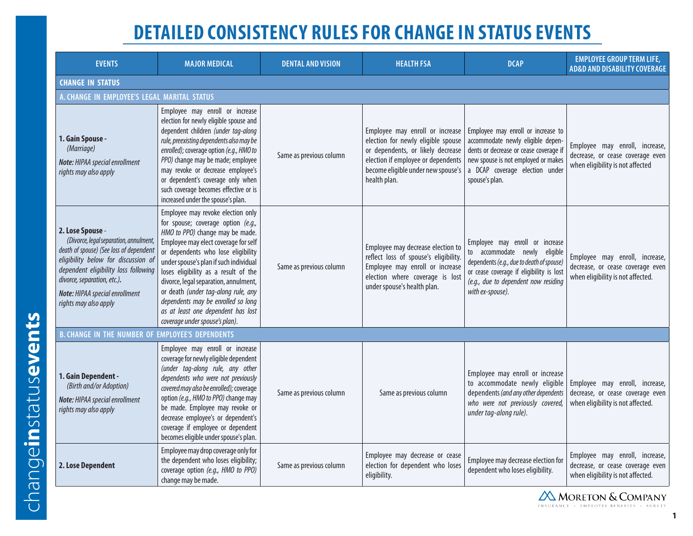## **DETAILED CONSISTENCY RULES FOR CHANGE IN STATUS EVENTS**

| <b>EVENTS</b>                                                                                                                                                                                                                                                                  | <b>MAJOR MEDICAL</b>                                                                                                                                                                                                                                                                                                                                                                                                                                                     | <b>DENTAL AND VISION</b> | <b>HEALTH FSA</b>                                                                                                                                                                                      | <b>DCAP</b>                                                                                                                                                                                                           | <b>EMPLOYEE GROUP TERM LIFE,</b><br><b>AD&amp;D AND DISABILITY COVERAGE</b>                             |  |  |
|--------------------------------------------------------------------------------------------------------------------------------------------------------------------------------------------------------------------------------------------------------------------------------|--------------------------------------------------------------------------------------------------------------------------------------------------------------------------------------------------------------------------------------------------------------------------------------------------------------------------------------------------------------------------------------------------------------------------------------------------------------------------|--------------------------|--------------------------------------------------------------------------------------------------------------------------------------------------------------------------------------------------------|-----------------------------------------------------------------------------------------------------------------------------------------------------------------------------------------------------------------------|---------------------------------------------------------------------------------------------------------|--|--|
| <b>CHANGE IN STATUS</b>                                                                                                                                                                                                                                                        |                                                                                                                                                                                                                                                                                                                                                                                                                                                                          |                          |                                                                                                                                                                                                        |                                                                                                                                                                                                                       |                                                                                                         |  |  |
| A. CHANGE IN EMPLOYEE'S LEGAL MARITAL STATUS                                                                                                                                                                                                                                   |                                                                                                                                                                                                                                                                                                                                                                                                                                                                          |                          |                                                                                                                                                                                                        |                                                                                                                                                                                                                       |                                                                                                         |  |  |
| 1. Gain Spouse -<br>(Marriage)<br>Note: HIPAA special enrollment<br>rights may also apply                                                                                                                                                                                      | Employee may enroll or increase<br>election for newly eligible spouse and<br>dependent children (under tag-along<br>rule, preexisting dependents also may be<br>enrolled); coverage option (e.g., HMO to<br>PPO) change may be made; employee<br>may revoke or decrease employee's<br>or dependent's coverage only when<br>such coverage becomes effective or is<br>increased under the spouse's plan.                                                                   | Same as previous column  | Employee may enroll or increase<br>election for newly eligible spouse<br>or dependents, or likely decrease<br>election if employee or dependents<br>become eligible under new spouse's<br>health plan. | Employee may enroll or increase to<br>accommodate newly eligible depen-<br>dents or decrease or cease coverage if<br>new spouse is not employed or makes<br>a DCAP coverage election under<br>spouse's plan.          | Employee may enroll, increase,<br>decrease, or cease coverage even<br>when eligibility is not affected  |  |  |
| 2. Lose Spouse -<br>(Divorce, legal separation, annulment,<br>death of spouse) (See loss of dependent<br>eligibility below for discussion of<br>dependent eligibility loss following<br>divorce, separation, etc.).<br>Note: HIPAA special enrollment<br>rights may also apply | Employee may revoke election only<br>for spouse; coverage option (e.g.,<br>HMO to PPO) change may be made.<br>Employee may elect coverage for self<br>or dependents who lose eligibility<br>under spouse's plan if such individual<br>loses eligibility as a result of the<br>divorce, legal separation, annulment,<br>or death (under tag-along rule, any<br>dependents may be enrolled so long<br>as at least one dependent has lost<br>coverage under spouse's plan). | Same as previous column  | Employee may decrease election to<br>reflect loss of spouse's eligibility.<br>Employee may enroll or increase<br>election where coverage is lost<br>under spouse's health plan.                        | Employee may enroll or increase<br>to accommodate newly eligible<br>dependents (e.g., due to death of spouse)<br>or cease coverage if eligibility is lost<br>(e.g., due to dependent now residing<br>with ex-spouse). | Employee may enroll, increase,<br>decrease, or cease coverage even<br>when eligibility is not affected. |  |  |
| <b>B. CHANGE IN THE NUMBER OF EMPLOYEE'S DEPENDENTS</b>                                                                                                                                                                                                                        |                                                                                                                                                                                                                                                                                                                                                                                                                                                                          |                          |                                                                                                                                                                                                        |                                                                                                                                                                                                                       |                                                                                                         |  |  |
| 1. Gain Dependent -<br>(Birth and/or Adoption)<br>Note: HIPAA special enrollment<br>rights may also apply                                                                                                                                                                      | Employee may enroll or increase<br>coverage for newly eligible dependent<br>(under tag-along rule, any other<br>dependents who were not previously<br>covered may also be enrolled); coverage<br>option (e.g., HMO to PPO) change may<br>be made. Employee may revoke or<br>decrease employee's or dependent's<br>coverage if employee or dependent<br>becomes eligible under spouse's plan.                                                                             | Same as previous column  | Same as previous column                                                                                                                                                                                | Employee may enroll or increase<br>to accommodate newly eligible<br>dependents (and any other dependents<br>who were not previously covered,<br>under tag-along rule).                                                | Employee may enroll, increase,<br>decrease, or cease coverage even<br>when eligibility is not affected. |  |  |
| 2. Lose Dependent                                                                                                                                                                                                                                                              | Employee may drop coverage only for<br>the dependent who loses eligibility;<br>coverage option (e.g., HMO to PPO)<br>change may be made.                                                                                                                                                                                                                                                                                                                                 | Same as previous column  | Employee may decrease or cease<br>election for dependent who loses<br>eligibility.                                                                                                                     | Employee may decrease election for<br>dependent who loses eligibility.                                                                                                                                                | Employee may enroll, increase,<br>decrease, or cease coverage even<br>when eligibility is not affected. |  |  |

**AMORETON & COMPANY** INSURANCE · EMPLOYEE BENEFITS · SURETY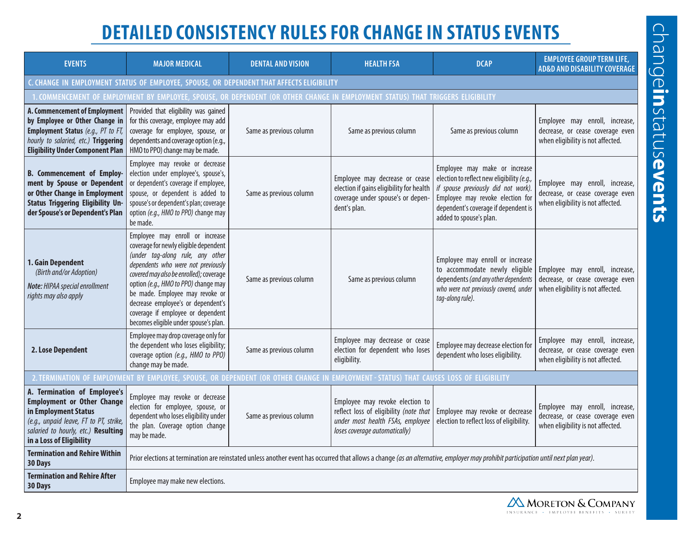## **DETAILED CONSISTENCY RULES FOR CHANGE IN STATUS EVENTS**

| <b>EVENTS</b>                                                                                                                                                                                          | <b>MAJOR MEDICAL</b>                                                                                                                                                                                                                                                                                                                                                                         | <b>DENTAL AND VISION</b> | <b>HEALTH FSA</b>                                                                                                                              | <b>DCAP</b>                                                                                                                                                                                                               | <b>EMPLOYEE GROUP TERM LIFE,</b><br><b>AD&amp;D AND DISABILITY COVERAGE</b>                             |  |  |
|--------------------------------------------------------------------------------------------------------------------------------------------------------------------------------------------------------|----------------------------------------------------------------------------------------------------------------------------------------------------------------------------------------------------------------------------------------------------------------------------------------------------------------------------------------------------------------------------------------------|--------------------------|------------------------------------------------------------------------------------------------------------------------------------------------|---------------------------------------------------------------------------------------------------------------------------------------------------------------------------------------------------------------------------|---------------------------------------------------------------------------------------------------------|--|--|
| C. CHANGE IN EMPLOYMENT STATUS OF EMPLOYEE, SPOUSE, OR DEPENDENT THAT AFFECTS ELIGIBILITY                                                                                                              |                                                                                                                                                                                                                                                                                                                                                                                              |                          |                                                                                                                                                |                                                                                                                                                                                                                           |                                                                                                         |  |  |
| . COMMENCEMENT OF EMPLOYMENT BY EMPLOYEE, SPOUSE, OR DEPENDENT (OR OTHER CHANGE IN EMPLOYMENT STATUS) THAT TRIGGERS ELIGIBILITY                                                                        |                                                                                                                                                                                                                                                                                                                                                                                              |                          |                                                                                                                                                |                                                                                                                                                                                                                           |                                                                                                         |  |  |
| A. Commencement of Employment<br>by Employee or Other Change in<br><b>Employment Status</b> (e.g., PT to FT,<br>hourly to salaried, etc.) Triggering<br><b>Eligibility Under Component Plan</b>        | Provided that eligibility was gained<br>for this coverage, employee may add<br>coverage for employee, spouse, or<br>dependents and coverage option (e.g.,<br>HMO to PPO) change may be made.                                                                                                                                                                                                 | Same as previous column  | Same as previous column                                                                                                                        | Same as previous column                                                                                                                                                                                                   | Employee may enroll, increase,<br>decrease, or cease coverage even<br>when eligibility is not affected. |  |  |
| <b>B.</b> Commencement of Employ-<br>ment by Spouse or Dependent<br>or Other Change in Employment<br><b>Status Triggering Eligibility Un-</b><br>der Spouse's or Dependent's Plan                      | Employee may revoke or decrease<br>election under employee's, spouse's,<br>or dependent's coverage if employee,<br>spouse, or dependent is added to<br>spouse's or dependent's plan; coverage<br>option (e.g., HMO to PPO) change may<br>be made.                                                                                                                                            | Same as previous column  | Employee may decrease or cease<br>election if gains eligibility for health<br>coverage under spouse's or depen-<br>dent's plan.                | Employee may make or increase<br>election to reflect new eligibility (e.g.,<br>if spouse previously did not work).<br>Employee may revoke election for<br>dependent's coverage if dependent is<br>added to spouse's plan. | Employee may enroll, increase,<br>decrease, or cease coverage even<br>when eligibility is not affected. |  |  |
| 1. Gain Dependent<br>(Birth and/or Adoption)<br>Note: HIPAA special enrollment<br>rights may also apply                                                                                                | Employee may enroll or increase<br>coverage for newly eligible dependent<br>(under tag-along rule, any other<br>dependents who were not previously<br>covered may also be enrolled); coverage<br>option (e.g., HMO to PPO) change may<br>be made. Employee may revoke or<br>decrease employee's or dependent's<br>coverage if employee or dependent<br>becomes eligible under spouse's plan. | Same as previous column  | Same as previous column                                                                                                                        | Employee may enroll or increase<br>to accommodate newly eligible<br>dependents (and any other dependents<br>who were not previously covered, under<br>tag-along rule).                                                    | Employee may enroll, increase,<br>decrease, or cease coverage even<br>when eligibility is not affected. |  |  |
| 2. Lose Dependent                                                                                                                                                                                      | Employee may drop coverage only for<br>the dependent who loses eligibility;<br>coverage option (e.g., HMO to PPO)<br>change may be made.                                                                                                                                                                                                                                                     | Same as previous column  | Employee may decrease or cease<br>election for dependent who loses<br>eligibility.                                                             | Employee may decrease election for<br>dependent who loses eligibility.                                                                                                                                                    | Employee may enroll, increase,<br>decrease, or cease coverage even<br>when eligibility is not affected. |  |  |
| 2. TERMINATION OF EMPLOYMENT BY EMPLOYEE, SPOUSE, OR DEPENDENT (OR OTHER CHANGE IN EMPLOYMENT - STATUS) THAT CAUSES LOSS OF ELIGIBILITY                                                                |                                                                                                                                                                                                                                                                                                                                                                                              |                          |                                                                                                                                                |                                                                                                                                                                                                                           |                                                                                                         |  |  |
| A. Termination of Employee's<br><b>Employment or Other Change</b><br>in Employment Status<br>(e.g., unpaid leave, FT to PT, strike,<br>salaried to hourly, etc.) Resulting<br>in a Loss of Eligibility | Employee may revoke or decrease<br>election for employee, spouse, or<br>dependent who loses eligibility under<br>the plan. Coverage option change<br>may be made.                                                                                                                                                                                                                            | Same as previous column  | Employee may revoke election to<br>reflect loss of eligibility (note that<br>under most health FSAs, employee<br>loses coverage automatically) | Employee may revoke or decrease<br>election to reflect loss of eligibility.                                                                                                                                               | Employee may enroll, increase,<br>decrease, or cease coverage even<br>when eligibility is not affected. |  |  |
| <b>Termination and Rehire Within</b><br>30 Days                                                                                                                                                        | Prior elections at termination are reinstated unless another event has occurred that allows a change (as an alternative, employer may prohibit participation until next plan year).                                                                                                                                                                                                          |                          |                                                                                                                                                |                                                                                                                                                                                                                           |                                                                                                         |  |  |
| <b>Termination and Rehire After</b><br>30 Days                                                                                                                                                         | Employee may make new elections.                                                                                                                                                                                                                                                                                                                                                             |                          |                                                                                                                                                |                                                                                                                                                                                                                           |                                                                                                         |  |  |